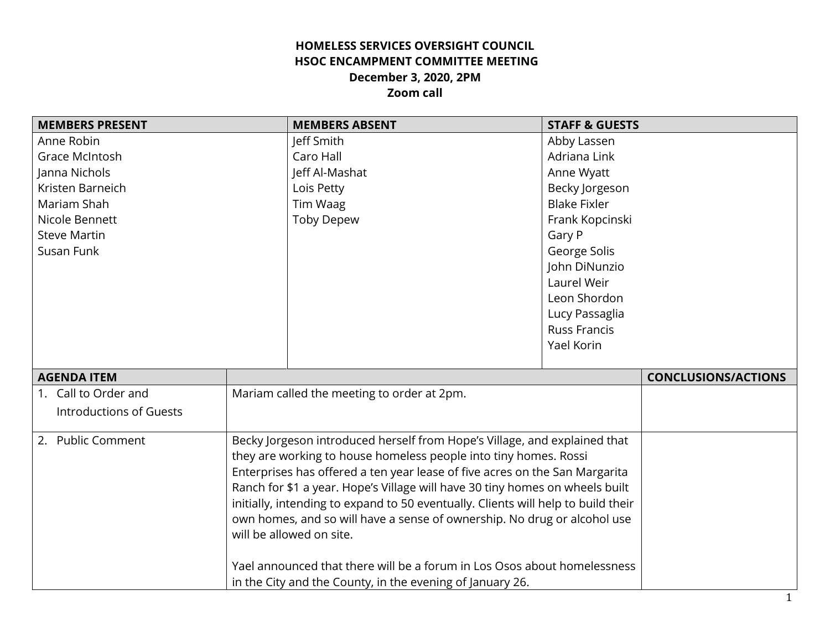## **HOMELESS SERVICES OVERSIGHT COUNCIL HSOC ENCAMPMENT COMMITTEE MEETING December 3, 2020, 2PM Zoom call**

| <b>MEMBERS PRESENT</b>         |                                                                                                                                                 | <b>MEMBERS ABSENT</b>                                     | <b>STAFF &amp; GUESTS</b> |                            |
|--------------------------------|-------------------------------------------------------------------------------------------------------------------------------------------------|-----------------------------------------------------------|---------------------------|----------------------------|
| Anne Robin                     |                                                                                                                                                 | Jeff Smith                                                | Abby Lassen               |                            |
| Grace McIntosh                 |                                                                                                                                                 | Caro Hall                                                 | Adriana Link              |                            |
| Janna Nichols                  |                                                                                                                                                 | Jeff Al-Mashat                                            | Anne Wyatt                |                            |
| Kristen Barneich               |                                                                                                                                                 | Lois Petty                                                | Becky Jorgeson            |                            |
| Mariam Shah                    |                                                                                                                                                 | Tim Waag                                                  | <b>Blake Fixler</b>       |                            |
| Nicole Bennett                 |                                                                                                                                                 | <b>Toby Depew</b>                                         | Frank Kopcinski           |                            |
| <b>Steve Martin</b>            |                                                                                                                                                 |                                                           | Gary P                    |                            |
| Susan Funk                     |                                                                                                                                                 |                                                           | George Solis              |                            |
|                                |                                                                                                                                                 |                                                           | John DiNunzio             |                            |
|                                |                                                                                                                                                 |                                                           | Laurel Weir               |                            |
|                                |                                                                                                                                                 |                                                           | Leon Shordon              |                            |
|                                |                                                                                                                                                 |                                                           | Lucy Passaglia            |                            |
|                                |                                                                                                                                                 |                                                           | <b>Russ Francis</b>       |                            |
|                                |                                                                                                                                                 |                                                           | Yael Korin                |                            |
|                                |                                                                                                                                                 |                                                           |                           |                            |
| <b>AGENDA ITEM</b>             |                                                                                                                                                 |                                                           |                           | <b>CONCLUSIONS/ACTIONS</b> |
| 1. Call to Order and           |                                                                                                                                                 | Mariam called the meeting to order at 2pm.                |                           |                            |
| <b>Introductions of Guests</b> |                                                                                                                                                 |                                                           |                           |                            |
|                                |                                                                                                                                                 |                                                           |                           |                            |
| 2. Public Comment              | Becky Jorgeson introduced herself from Hope's Village, and explained that                                                                       |                                                           |                           |                            |
|                                | they are working to house homeless people into tiny homes. Rossi<br>Enterprises has offered a ten year lease of five acres on the San Margarita |                                                           |                           |                            |
|                                |                                                                                                                                                 |                                                           |                           |                            |
|                                | Ranch for \$1 a year. Hope's Village will have 30 tiny homes on wheels built                                                                    |                                                           |                           |                            |
|                                | initially, intending to expand to 50 eventually. Clients will help to build their                                                               |                                                           |                           |                            |
|                                | own homes, and so will have a sense of ownership. No drug or alcohol use<br>will be allowed on site.                                            |                                                           |                           |                            |
|                                |                                                                                                                                                 |                                                           |                           |                            |
|                                | Yael announced that there will be a forum in Los Osos about homelessness                                                                        |                                                           |                           |                            |
|                                |                                                                                                                                                 | in the City and the County, in the evening of January 26. |                           |                            |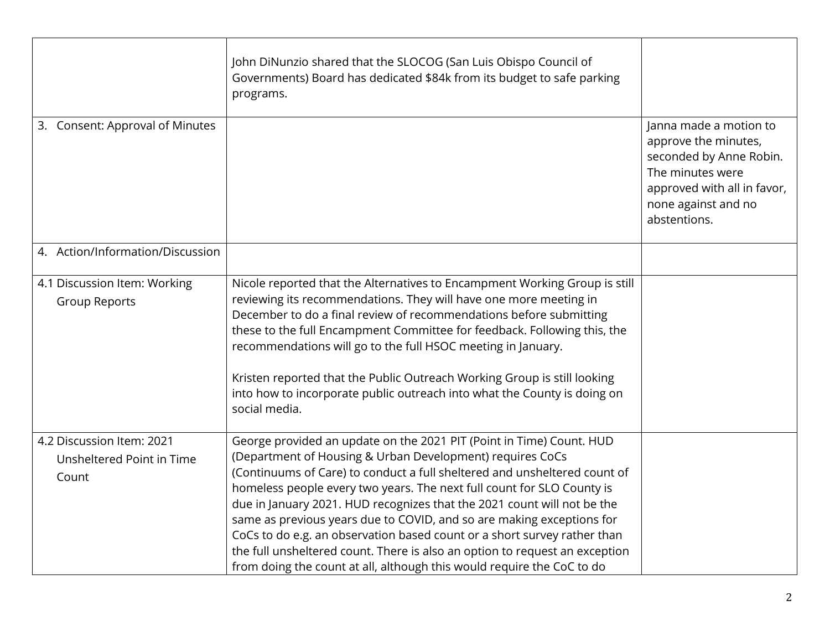|                                                                 | John DiNunzio shared that the SLOCOG (San Luis Obispo Council of<br>Governments) Board has dedicated \$84k from its budget to safe parking<br>programs.                                                                                                                                                                                                                                                                                                                                                                                                                                                                                                                           |                                                                                                                                                                     |
|-----------------------------------------------------------------|-----------------------------------------------------------------------------------------------------------------------------------------------------------------------------------------------------------------------------------------------------------------------------------------------------------------------------------------------------------------------------------------------------------------------------------------------------------------------------------------------------------------------------------------------------------------------------------------------------------------------------------------------------------------------------------|---------------------------------------------------------------------------------------------------------------------------------------------------------------------|
| 3. Consent: Approval of Minutes                                 |                                                                                                                                                                                                                                                                                                                                                                                                                                                                                                                                                                                                                                                                                   | Janna made a motion to<br>approve the minutes,<br>seconded by Anne Robin.<br>The minutes were<br>approved with all in favor,<br>none against and no<br>abstentions. |
| 4. Action/Information/Discussion                                |                                                                                                                                                                                                                                                                                                                                                                                                                                                                                                                                                                                                                                                                                   |                                                                                                                                                                     |
| 4.1 Discussion Item: Working<br><b>Group Reports</b>            | Nicole reported that the Alternatives to Encampment Working Group is still<br>reviewing its recommendations. They will have one more meeting in<br>December to do a final review of recommendations before submitting<br>these to the full Encampment Committee for feedback. Following this, the<br>recommendations will go to the full HSOC meeting in January.<br>Kristen reported that the Public Outreach Working Group is still looking<br>into how to incorporate public outreach into what the County is doing on<br>social media.                                                                                                                                        |                                                                                                                                                                     |
| 4.2 Discussion Item: 2021<br>Unsheltered Point in Time<br>Count | George provided an update on the 2021 PIT (Point in Time) Count. HUD<br>(Department of Housing & Urban Development) requires CoCs<br>(Continuums of Care) to conduct a full sheltered and unsheltered count of<br>homeless people every two years. The next full count for SLO County is<br>due in January 2021. HUD recognizes that the 2021 count will not be the<br>same as previous years due to COVID, and so are making exceptions for<br>CoCs to do e.g. an observation based count or a short survey rather than<br>the full unsheltered count. There is also an option to request an exception<br>from doing the count at all, although this would require the CoC to do |                                                                                                                                                                     |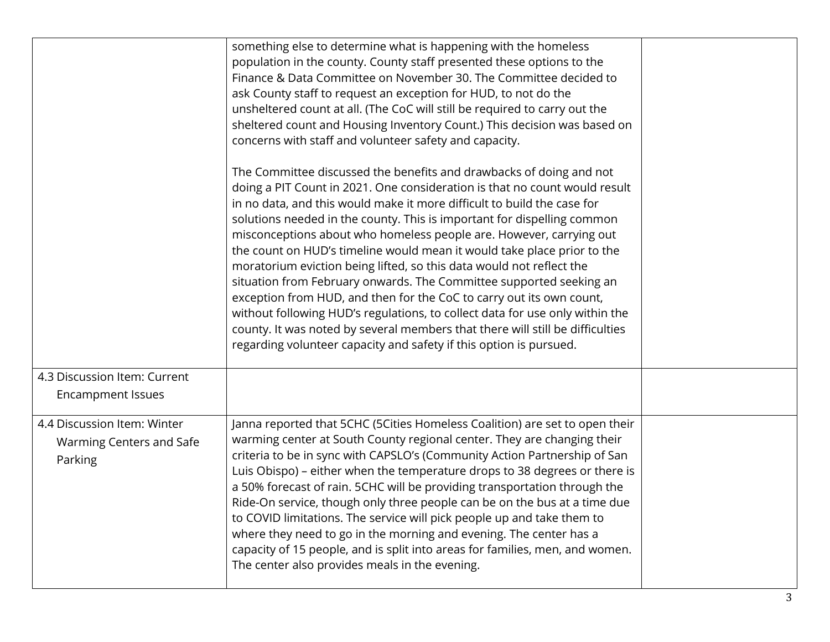|                                                                    | something else to determine what is happening with the homeless<br>population in the county. County staff presented these options to the<br>Finance & Data Committee on November 30. The Committee decided to<br>ask County staff to request an exception for HUD, to not do the<br>unsheltered count at all. (The CoC will still be required to carry out the<br>sheltered count and Housing Inventory Count.) This decision was based on<br>concerns with staff and volunteer safety and capacity.                                                                                                                                                                                                                                                                                                                                                                                                                    |  |
|--------------------------------------------------------------------|-------------------------------------------------------------------------------------------------------------------------------------------------------------------------------------------------------------------------------------------------------------------------------------------------------------------------------------------------------------------------------------------------------------------------------------------------------------------------------------------------------------------------------------------------------------------------------------------------------------------------------------------------------------------------------------------------------------------------------------------------------------------------------------------------------------------------------------------------------------------------------------------------------------------------|--|
|                                                                    | The Committee discussed the benefits and drawbacks of doing and not<br>doing a PIT Count in 2021. One consideration is that no count would result<br>in no data, and this would make it more difficult to build the case for<br>solutions needed in the county. This is important for dispelling common<br>misconceptions about who homeless people are. However, carrying out<br>the count on HUD's timeline would mean it would take place prior to the<br>moratorium eviction being lifted, so this data would not reflect the<br>situation from February onwards. The Committee supported seeking an<br>exception from HUD, and then for the CoC to carry out its own count,<br>without following HUD's regulations, to collect data for use only within the<br>county. It was noted by several members that there will still be difficulties<br>regarding volunteer capacity and safety if this option is pursued. |  |
| 4.3 Discussion Item: Current                                       |                                                                                                                                                                                                                                                                                                                                                                                                                                                                                                                                                                                                                                                                                                                                                                                                                                                                                                                         |  |
| <b>Encampment Issues</b>                                           |                                                                                                                                                                                                                                                                                                                                                                                                                                                                                                                                                                                                                                                                                                                                                                                                                                                                                                                         |  |
| 4.4 Discussion Item: Winter<br>Warming Centers and Safe<br>Parking | Janna reported that 5CHC (5Cities Homeless Coalition) are set to open their<br>warming center at South County regional center. They are changing their<br>criteria to be in sync with CAPSLO's (Community Action Partnership of San<br>Luis Obispo) - either when the temperature drops to 38 degrees or there is<br>a 50% forecast of rain. 5CHC will be providing transportation through the<br>Ride-On service, though only three people can be on the bus at a time due<br>to COVID limitations. The service will pick people up and take them to<br>where they need to go in the morning and evening. The center has a<br>capacity of 15 people, and is split into areas for families, men, and women.<br>The center also provides meals in the evening.                                                                                                                                                           |  |